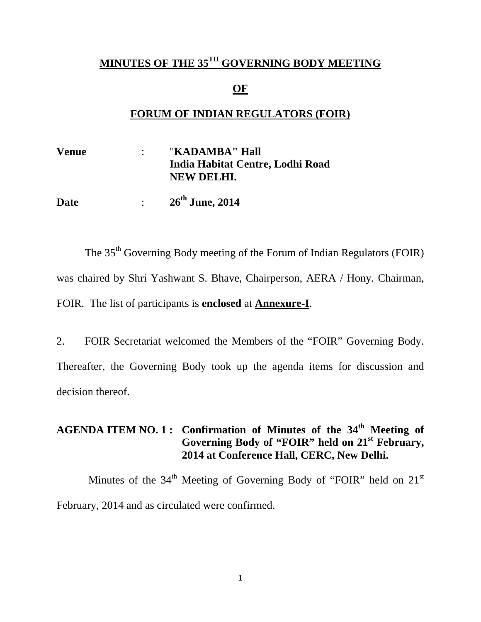#### **MINUTES OF THE 35TH GOVERNING BODY MEETING**

#### **OF**

#### **FORUM OF INDIAN REGULATORS (FOIR)**

| <b>Venue</b> | "KADAMBA" Hall                   |
|--------------|----------------------------------|
|              | India Habitat Centre, Lodhi Road |
|              | NEW DELHI.                       |
|              |                                  |

**Date** : **26th June, 2014** 

The 35<sup>th</sup> Governing Body meeting of the Forum of Indian Regulators (FOIR) was chaired by Shri Yashwant S. Bhave, Chairperson, AERA / Hony. Chairman, FOIR. The list of participants is **enclosed** at **Annexure-I**.

2. FOIR Secretariat welcomed the Members of the "FOIR" Governing Body. Thereafter, the Governing Body took up the agenda items for discussion and decision thereof.

### **AGENDA ITEM NO. 1 : Confirmation of Minutes of the 34th Meeting of Governing Body of "FOIR" held on 21st February, 2014 at Conference Hall, CERC, New Delhi.**

Minutes of the  $34<sup>th</sup>$  Meeting of Governing Body of "FOIR" held on  $21<sup>st</sup>$ February, 2014 and as circulated were confirmed.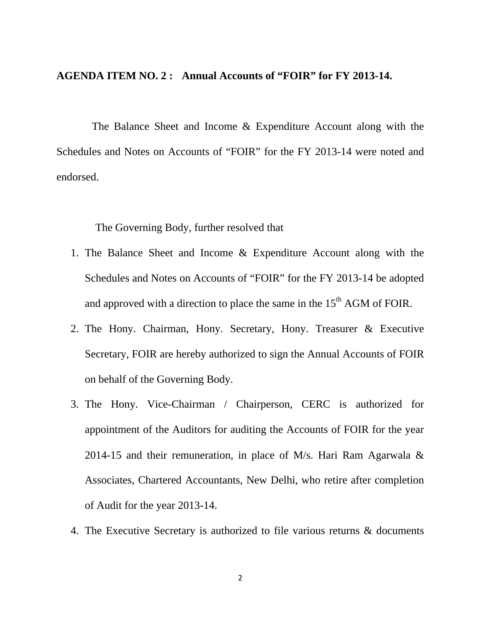#### **AGENDA ITEM NO. 2 : Annual Accounts of "FOIR" for FY 2013-14.**

The Balance Sheet and Income & Expenditure Account along with the Schedules and Notes on Accounts of "FOIR" for the FY 2013-14 were noted and endorsed.

The Governing Body, further resolved that

- 1. The Balance Sheet and Income & Expenditure Account along with the Schedules and Notes on Accounts of "FOIR" for the FY 2013-14 be adopted and approved with a direction to place the same in the  $15<sup>th</sup>$  AGM of FOIR.
- 2. The Hony. Chairman, Hony. Secretary, Hony. Treasurer & Executive Secretary, FOIR are hereby authorized to sign the Annual Accounts of FOIR on behalf of the Governing Body.
- 3. The Hony. Vice-Chairman / Chairperson, CERC is authorized for appointment of the Auditors for auditing the Accounts of FOIR for the year 2014-15 and their remuneration, in place of M/s. Hari Ram Agarwala  $\&$ Associates, Chartered Accountants, New Delhi, who retire after completion of Audit for the year 2013-14.
- 4. The Executive Secretary is authorized to file various returns & documents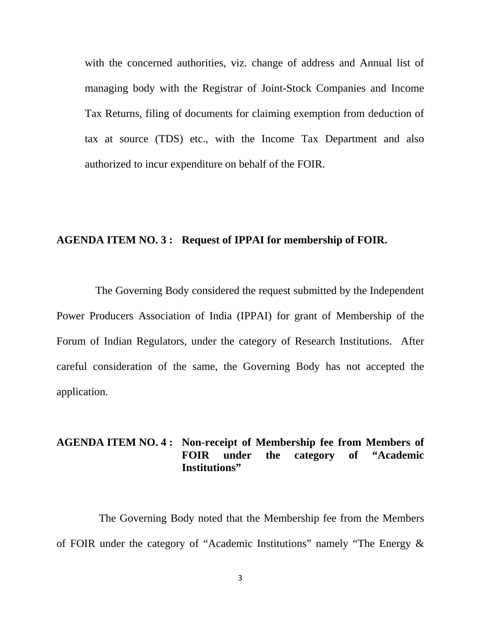with the concerned authorities, viz. change of address and Annual list of managing body with the Registrar of Joint-Stock Companies and Income Tax Returns, filing of documents for claiming exemption from deduction of tax at source (TDS) etc., with the Income Tax Department and also authorized to incur expenditure on behalf of the FOIR.

#### **AGENDA ITEM NO. 3 : Request of IPPAI for membership of FOIR.**

The Governing Body considered the request submitted by the Independent Power Producers Association of India (IPPAI) for grant of Membership of the Forum of Indian Regulators, under the category of Research Institutions. After careful consideration of the same, the Governing Body has not accepted the application.

#### **AGENDA ITEM NO. 4 : Non-receipt of Membership fee from Members of FOIR under the category of "Academic Institutions"**

The Governing Body noted that the Membership fee from the Members of FOIR under the category of "Academic Institutions" namely "The Energy &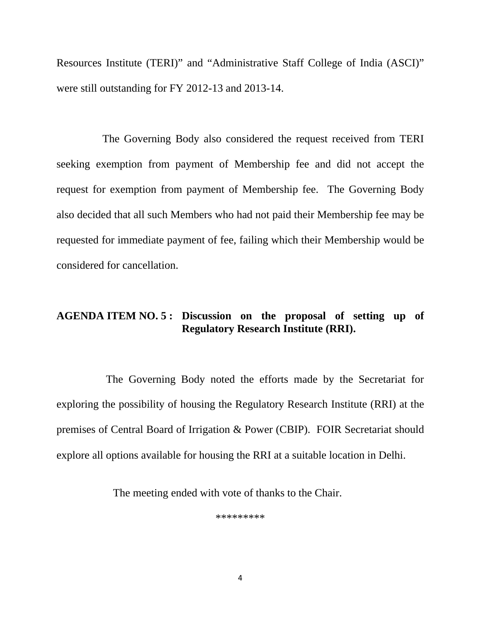Resources Institute (TERI)" and "Administrative Staff College of India (ASCI)" were still outstanding for FY 2012-13 and 2013-14.

The Governing Body also considered the request received from TERI seeking exemption from payment of Membership fee and did not accept the request for exemption from payment of Membership fee. The Governing Body also decided that all such Members who had not paid their Membership fee may be requested for immediate payment of fee, failing which their Membership would be considered for cancellation.

#### **AGENDA ITEM NO. 5 : Discussion on the proposal of setting up of Regulatory Research Institute (RRI).**

The Governing Body noted the efforts made by the Secretariat for exploring the possibility of housing the Regulatory Research Institute (RRI) at the premises of Central Board of Irrigation & Power (CBIP). FOIR Secretariat should explore all options available for housing the RRI at a suitable location in Delhi.

The meeting ended with vote of thanks to the Chair.

\*\*\*\*\*\*\*\*\*